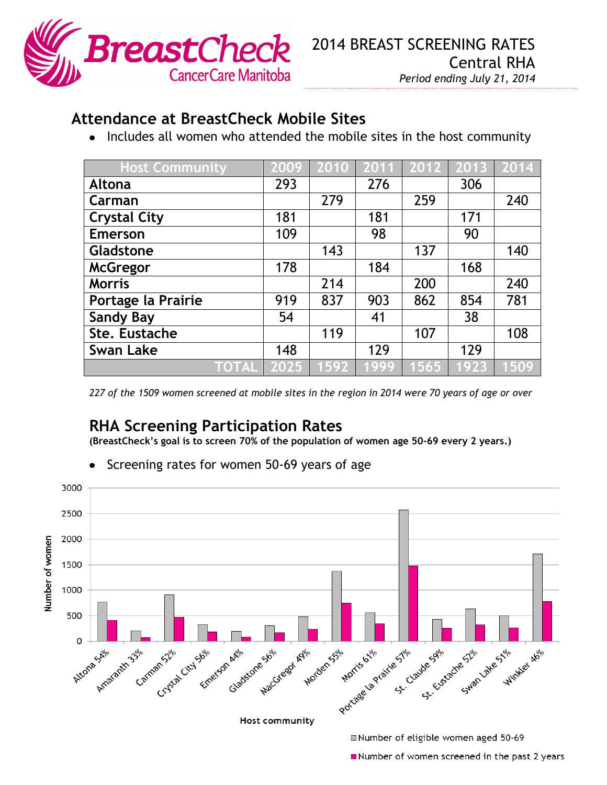

## **Attendance at BreastCheck Mobile Sites**

• Includes all women who attended the mobile sites in the host community

| <b>Host Community</b> | 2009 | 2010 | 2011 | 2012 | $\overline{2013}$ | 2014 |
|-----------------------|------|------|------|------|-------------------|------|
| Altona                | 293  |      | 276  |      | 306               |      |
| Carman                |      | 279  |      | 259  |                   | 240  |
| <b>Crystal City</b>   | 181  |      | 181  |      | 171               |      |
| <b>Emerson</b>        | 109  |      | 98   |      | 90                |      |
| Gladstone             |      | 143  |      | 137  |                   | 140  |
| <b>McGregor</b>       | 178  |      | 184  |      | 168               |      |
| <b>Morris</b>         |      | 214  |      | 200  |                   | 240  |
| Portage la Prairie    | 919  | 837  | 903  | 862  | 854               | 781  |
| <b>Sandy Bay</b>      | 54   |      | 41   |      | 38                |      |
| Ste. Eustache         |      | 119  |      | 107  |                   | 108  |
| <b>Swan Lake</b>      | 148  |      | 129  |      | 129               |      |
| <b>TOTAL</b>          | 2025 | 1592 | 1999 | 565  | 1923              | 1509 |

*227 of the 1509 women screened at mobile sites in the region in 2014 were 70 years of age or over*

## **RHA Screening Participation Rates**

**(BreastCheck's goal is to screen 70% of the population of women age 50-69 every 2 years.)**

- 3000 2500 Number of women 2000 1500 1000 500 Portage de Prairie Stile Sale Sale Side Stile Stile Right 0 MacGregor Mor Mordens N Attona Africa Gladstone MacG Amazanth 33% carman sizul city solo can Axie Host community Number of eligible women aged 50-69
- Screening rates for women 50-69 years of age

Number of women screened in the past 2 years